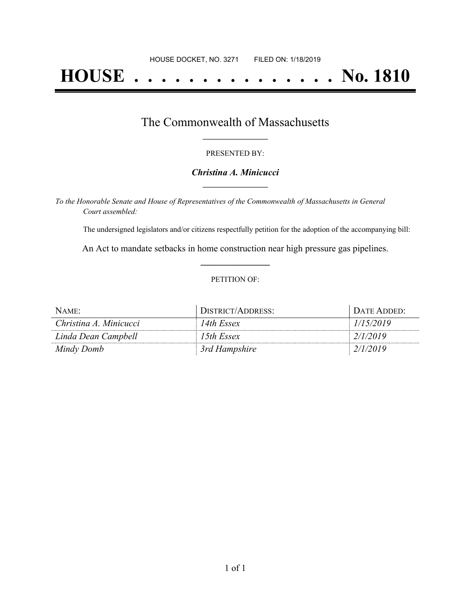# **HOUSE . . . . . . . . . . . . . . . No. 1810**

### The Commonwealth of Massachusetts **\_\_\_\_\_\_\_\_\_\_\_\_\_\_\_\_\_**

#### PRESENTED BY:

#### *Christina A. Minicucci* **\_\_\_\_\_\_\_\_\_\_\_\_\_\_\_\_\_**

*To the Honorable Senate and House of Representatives of the Commonwealth of Massachusetts in General Court assembled:*

The undersigned legislators and/or citizens respectfully petition for the adoption of the accompanying bill:

An Act to mandate setbacks in home construction near high pressure gas pipelines. **\_\_\_\_\_\_\_\_\_\_\_\_\_\_\_**

#### PETITION OF:

| NAME:                  | DISTRICT/ADDRESS: | DATE ADDED: |
|------------------------|-------------------|-------------|
| Christina A. Minicucci | 14th Essex        | 1/15/2019   |
| Linda Dean Campbell    | 15th Essex        | 2/1/2019    |
| Mindy Domb             | 3rd Hampshire     | 2/1/2019    |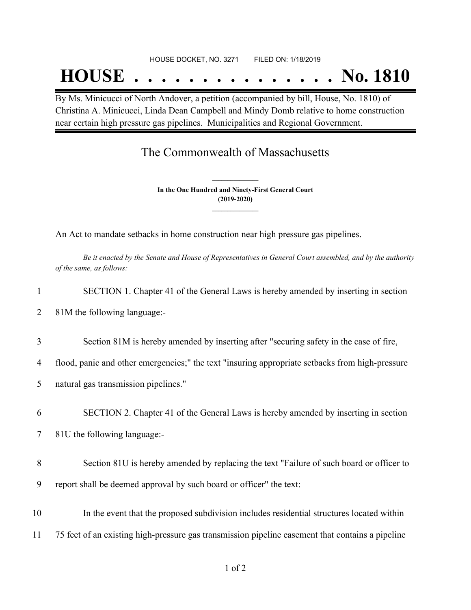#### HOUSE DOCKET, NO. 3271 FILED ON: 1/18/2019

## **HOUSE . . . . . . . . . . . . . . . No. 1810**

By Ms. Minicucci of North Andover, a petition (accompanied by bill, House, No. 1810) of Christina A. Minicucci, Linda Dean Campbell and Mindy Domb relative to home construction near certain high pressure gas pipelines. Municipalities and Regional Government.

## The Commonwealth of Massachusetts

**In the One Hundred and Ninety-First General Court (2019-2020) \_\_\_\_\_\_\_\_\_\_\_\_\_\_\_**

**\_\_\_\_\_\_\_\_\_\_\_\_\_\_\_**

An Act to mandate setbacks in home construction near high pressure gas pipelines.

Be it enacted by the Senate and House of Representatives in General Court assembled, and by the authority *of the same, as follows:*

| 1  | SECTION 1. Chapter 41 of the General Laws is hereby amended by inserting in section              |
|----|--------------------------------------------------------------------------------------------------|
| 2  | 81M the following language:-                                                                     |
| 3  | Section 81M is hereby amended by inserting after "securing safety in the case of fire,           |
| 4  | flood, panic and other emergencies;" the text "insuring appropriate setbacks from high-pressure  |
| 5  | natural gas transmission pipelines."                                                             |
| 6  | SECTION 2. Chapter 41 of the General Laws is hereby amended by inserting in section              |
| 7  | 81U the following language:-                                                                     |
| 8  | Section 81U is hereby amended by replacing the text "Failure of such board or officer to         |
| 9  | report shall be deemed approval by such board or officer" the text:                              |
| 10 | In the event that the proposed subdivision includes residential structures located within        |
| 11 | 75 feet of an existing high-pressure gas transmission pipeline easement that contains a pipeline |